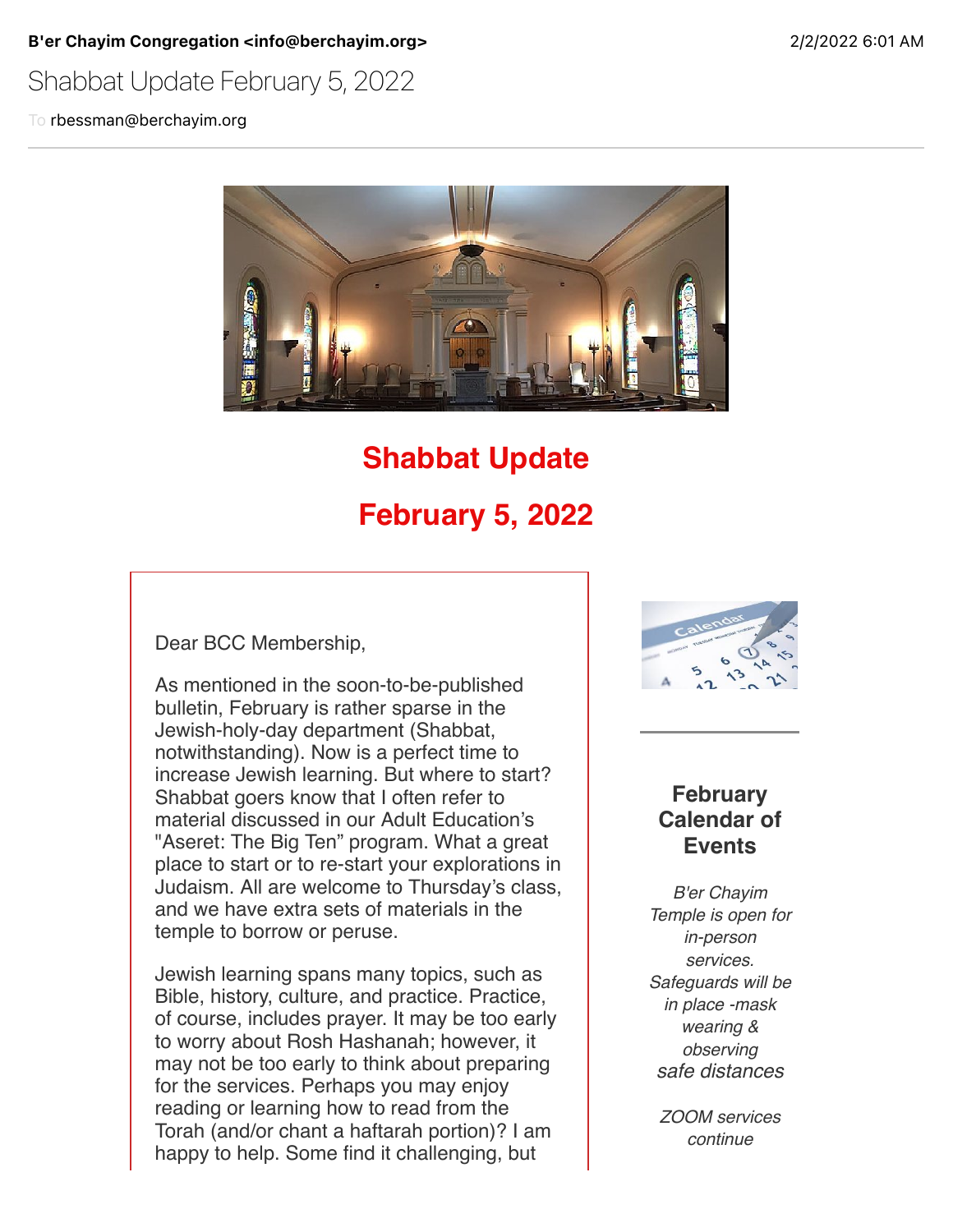B'er Chayim Congregation <info@berchayim.org> 2020 2022 6:01 AM

### Shabbat Update February 5, 2022

To rbessman@berchayim.org



# **Shabbat Update February 5, 2022**

Dear BCC Membership,

As mentioned in the soon-to-be-published bulletin, February is rather sparse in the Jewish-holy-day department (Shabbat, notwithstanding). Now is a perfect time to increase Jewish learning. But where to start? Shabbat goers know that I often refer to material discussed in our Adult Education's "Aseret: The Big Ten" program. What a great place to start or to re-start your explorations in Judaism. All are welcome to Thursday's class, and we have extra sets of materials in the temple to borrow or peruse.

Jewish learning spans many topics, such as Bible, history, culture, and practice. Practice, of course, includes prayer. It may be too early to worry about Rosh Hashanah; however, it may not be too early to think about preparing for the services. Perhaps you may enjoy reading or learning how to read from the Torah (and/or chant a haftarah portion)? I am happy to help. Some find it challenging, but



### **February Calendar of Events**

*B'er Chayim Temple is open for in-person services. Safeguards will be in place -mask wearing & observing safe distances*

*ZOOM services continue*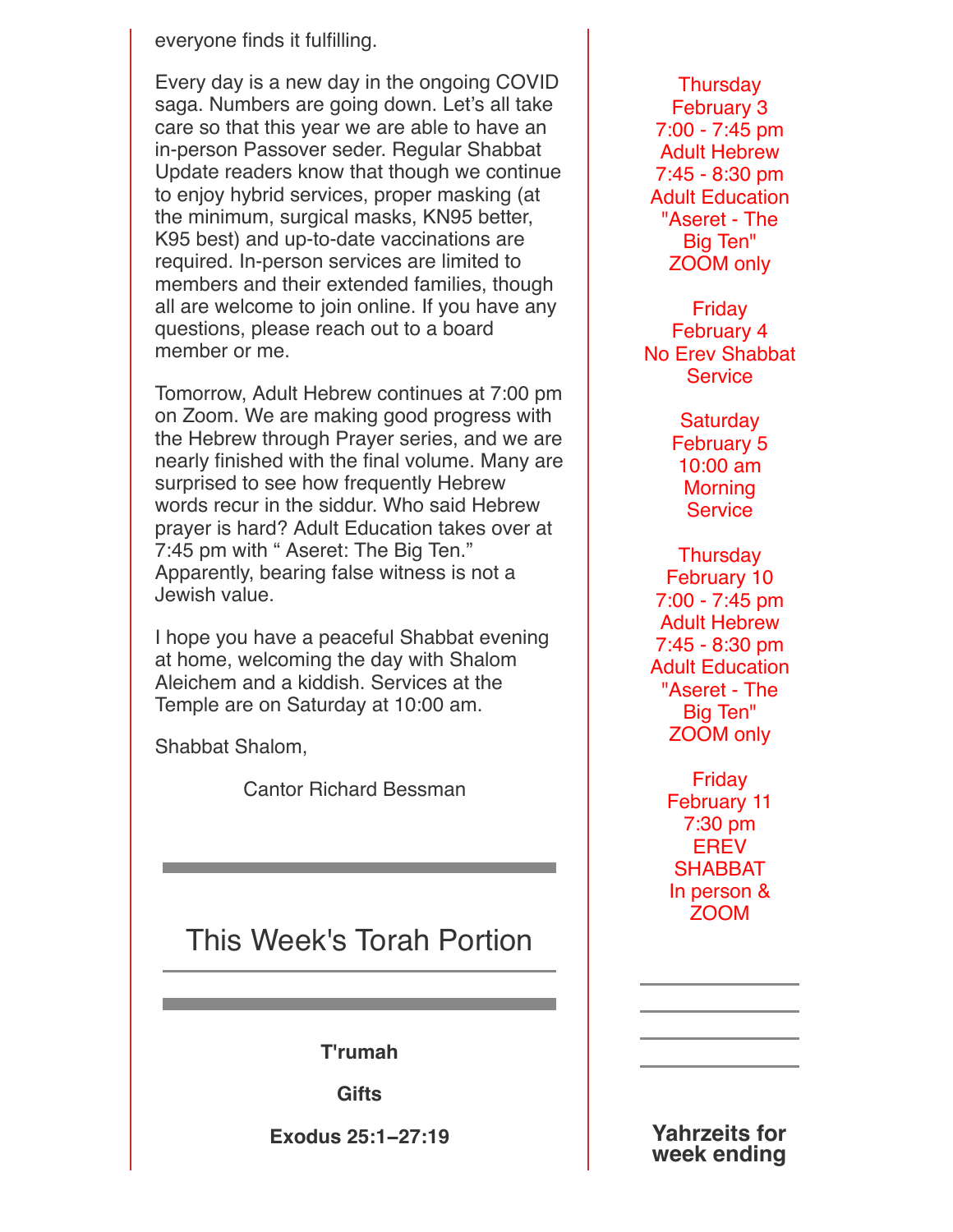#### everyone finds it fulfilling.

Every day is a new day in the ongoing COVID saga. Numbers are going down. Let's all take care so that this year we are able to have an in-person Passover seder. Regular Shabbat Update readers know that though we continue to enjoy hybrid services, proper masking (at the minimum, surgical masks, KN95 better, K95 best) and up-to-date vaccinations are required. In-person services are limited to members and their extended families, though all are welcome to join online. If you have any questions, please reach out to a board member or me.

Tomorrow, Adult Hebrew continues at 7:00 pm on Zoom. We are making good progress with the Hebrew through Prayer series, and we are nearly finished with the final volume. Many are surprised to see how frequently Hebrew words recur in the siddur. Who said Hebrew prayer is hard? Adult Education takes over at 7:45 pm with " Aseret: The Big Ten." Apparently, bearing false witness is not a Jewish value.

I hope you have a peaceful Shabbat evening at home, welcoming the day with Shalom Aleichem and a kiddish. Services at the Temple are on Saturday at 10:00 am.

Shabbat Shalom,

Cantor Richard Bessman

## This Week's Torah Portion

**T'rumah**

**Gifts**

**Exodus 25:1−27:19**

**Thursday** February 3 7:00 - 7:45 pm Adult Hebrew 7:45 - 8:30 pm Adult Education "Aseret - The Big Ten" ZOOM only

Friday February 4 No Erev Shabbat **Service** 

> **Saturday** February 5 10:00 am **Morning Service**

**Thursday** February 10 7:00 - 7:45 pm Adult Hebrew 7:45 - 8:30 pm Adult Education "Aseret - The Big Ten" ZOOM only

> Friday February 11 7:30 pm **EREV** SHABBAT In person & ZOOM

**Yahrzeits for week ending**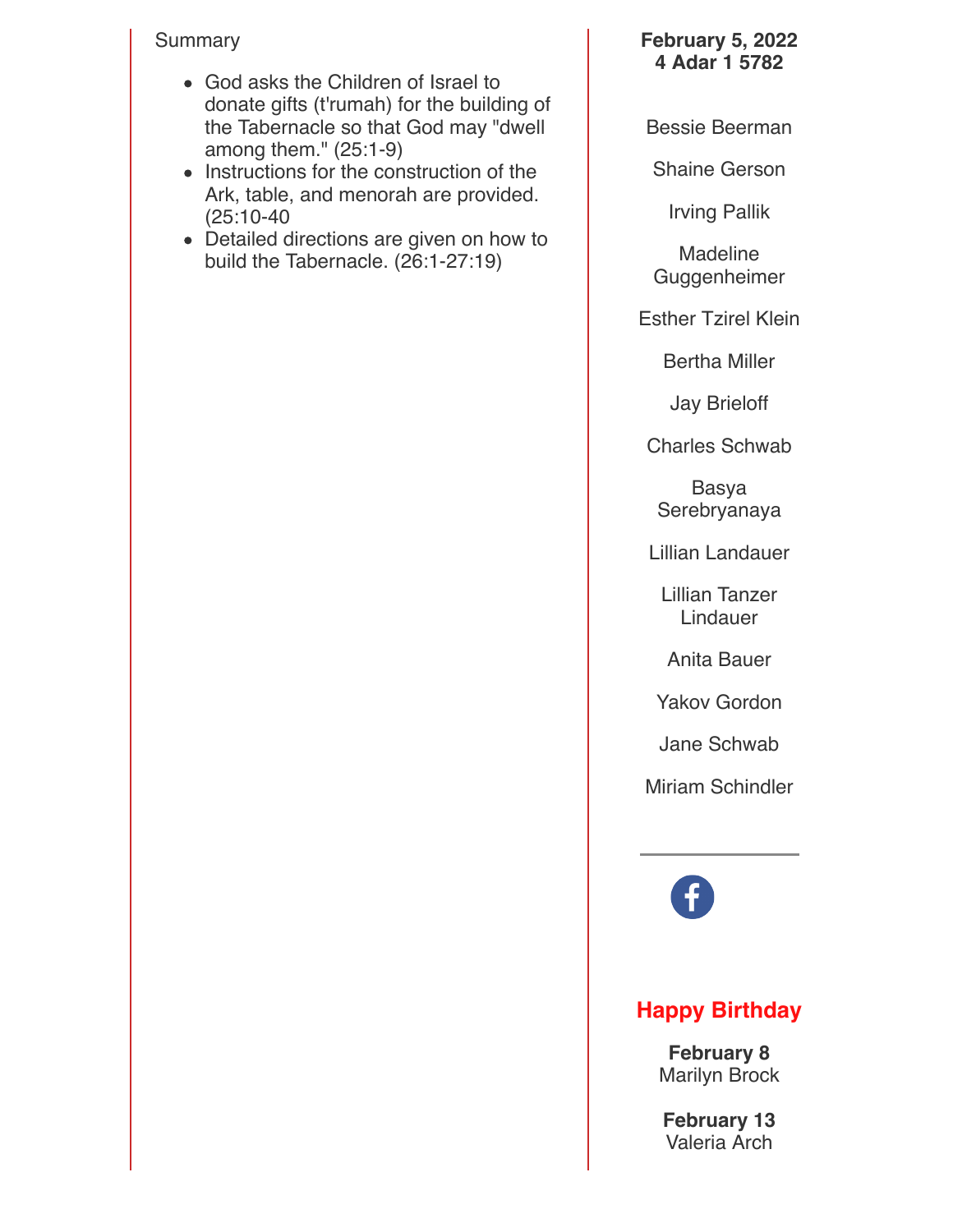### Summary

- God asks the Children of Israel to donate gifts (t'rumah) for the building of the Tabernacle so that God may "dwell among them." (25:1-9)
- Instructions for the construction of the Ark, table, and menorah are provided. (25:10-40
- Detailed directions are given on how to build the Tabernacle. (26:1-27:19)

### **February 5, 2022 4 Adar 1 5782**

Bessie Beerman

Shaine Gerson

Irving Pallik

Madeline Guggenheimer

Esther Tzirel Klein

Bertha Miller

Jay Brieloff

Charles Schwab

Basya Serebryanaya

Lillian Landauer

Lillian Tanzer Lindauer

Anita Bauer

Yakov Gordon

Jane Schwab

Miriam Schindler

### **Happy Birthday**

**February 8** Marilyn Brock

**February 13** Valeria Arch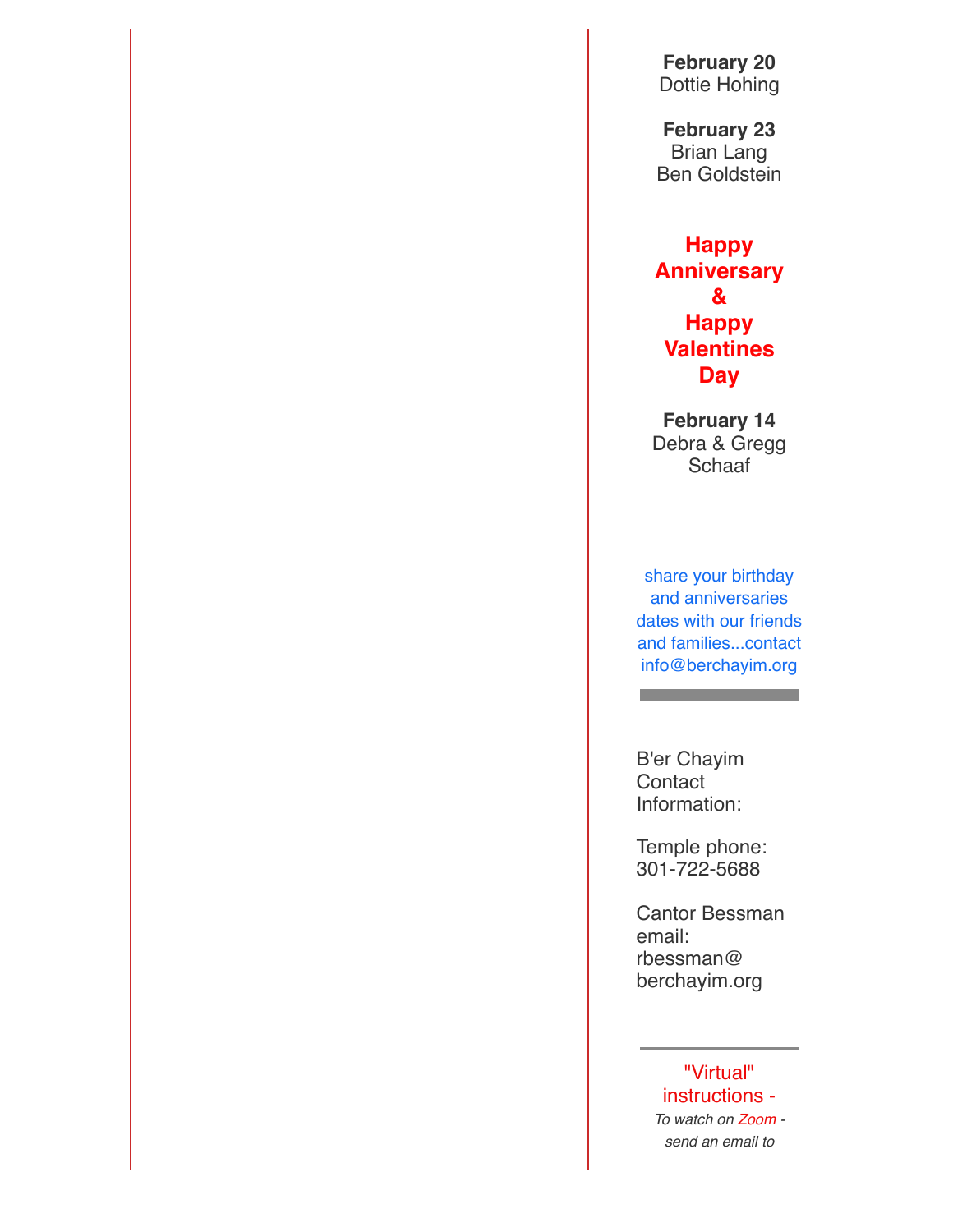**February 20** Dottie Hohing

**February 23** Brian Lang Ben Goldstein

**Happy Anniversary & Happy Valentines Day**

**February 14** Debra & Gregg **Schaaf** 

share your birthday and anniversaries dates with our friends and families...contact info@berchayim.org

the control of the control of the

B'er Chayim **Contact** Information:

Temple phone: 301-722-5688

Cantor Bessman email: rbessman@ berchayim.org

> "Virtual" instructions - *To watch on Zoom send an email to*